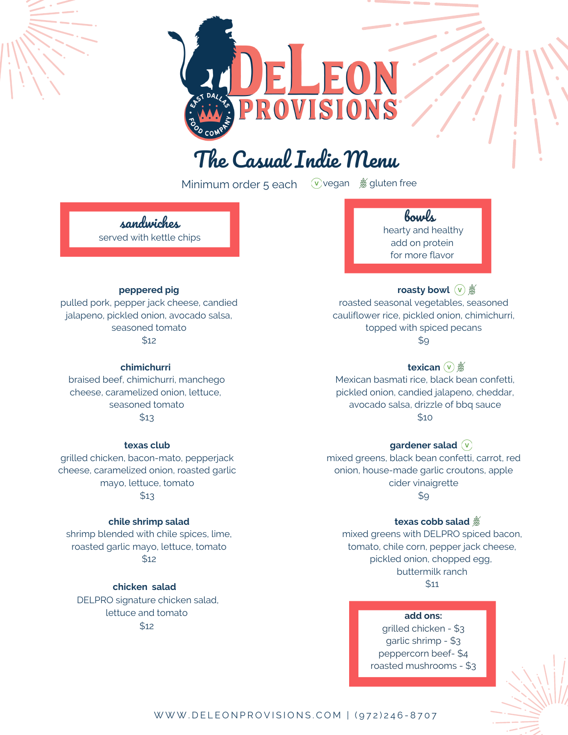# The Casual Indie Menu

ROVISIONS

Minimum order 5 each (v)vegan so gluten free

sandwiches served with kettle chips

### **peppered pig**

pulled pork, pepper jack cheese, candied jalapeno, pickled onion, avocado salsa, seasoned tomato \$12

**chimichurri**

braised beef, chimichurri, manchego cheese, caramelized onion, lettuce, seasoned tomato \$13

#### **texas club**

grilled chicken, bacon-mato, pepperjack cheese, caramelized onion, roasted garlic mayo, lettuce, tomato  $$13$ 

### **chile shrimp salad**

shrimp blended with chile spices, lime, roasted garlic mayo, lettuce, tomato \$12

**chicken salad**

DELPRO signature chicken salad, lettuce and tomato \$12

### bowls

hearty and healthy add on protein for more flavor

## **roasty** bowl  $(\vee)$  #

roasted seasonal vegetables, seasoned cauliflower rice, pickled onion, chimichurri, topped with spiced pecans \$9

### **texican** ( $\nu$ )

Mexican basmati rice, black bean confetti, pickled onion, candied jalapeno, cheddar, avocado salsa, drizzle of bbq sauce \$10

### **gardener salad**

mixed greens, black bean confetti, carrot, red onion, house-made garlic croutons, apple cider vinaigrette  $$9$ 

### **texas cobb salad**

mixed greens with DELPRO spiced bacon, tomato, chile corn, pepper jack cheese, pickled onion, chopped egg, buttermilk ranch \$11

#### S I G N A T U R E **add ons:**

grilled chicken - \$3 garlic shrimp - \$3 peppercorn beef- \$4 roasted mushrooms - \$3

### W W W . D E L E ON P R O V I S I O N S . C O M | (972) 246-8707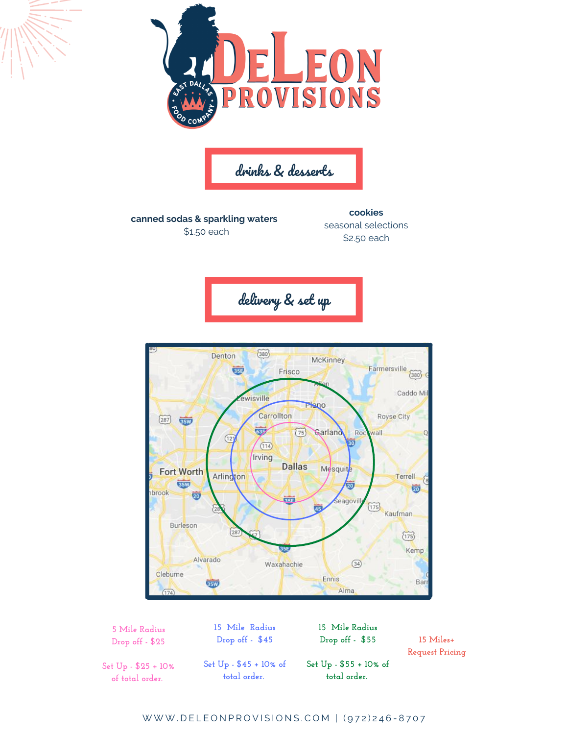

drinks & desserts

**canned sodas & sparkling waters** \$1.50 each

**cookies** seasonal selections \$2.50 each





**5 Mile Radius Drop off - \$25**

**15 Mile Radius Drop off - \$45**

**15 Mile Radius Drop off - \$55**

**15 Miles+ Request Pricing**

**Set Up - \$25 + 10% of total order.**

**Set Up - \$45 + 10% of total order.**

**Set Up - \$55 + 10% of total order.**

W W W . DELEON PROVISIONS. COM | (972) 246-8707